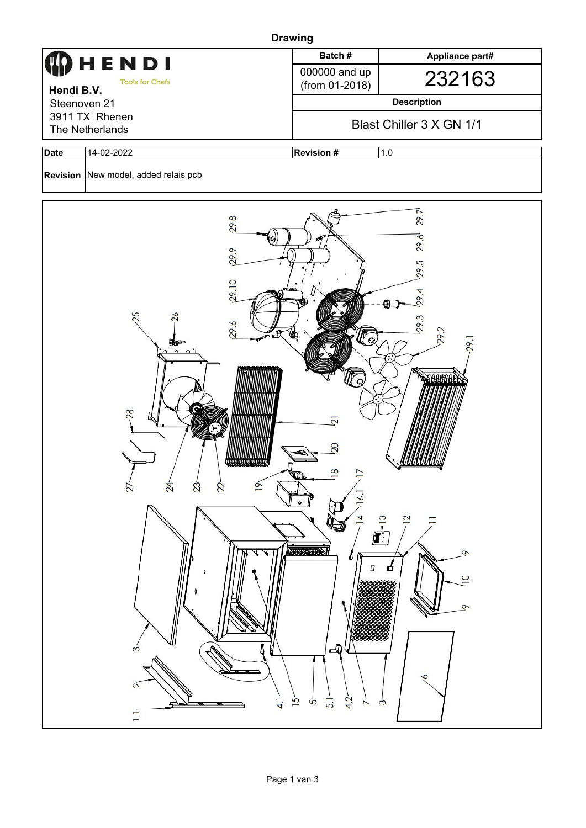| <b>Drawing</b>                    |                                                                                                                                                                                                                         |                                                                                                                                                             |                                                                                                                       |  |  |  |  |  |
|-----------------------------------|-------------------------------------------------------------------------------------------------------------------------------------------------------------------------------------------------------------------------|-------------------------------------------------------------------------------------------------------------------------------------------------------------|-----------------------------------------------------------------------------------------------------------------------|--|--|--|--|--|
|                                   | HENDI                                                                                                                                                                                                                   | Batch#                                                                                                                                                      | Appliance part#                                                                                                       |  |  |  |  |  |
| Hendi B.V.                        | <b>Tools for Chefs</b>                                                                                                                                                                                                  | 000000 and up<br>(from 01-2018)                                                                                                                             | 232163                                                                                                                |  |  |  |  |  |
| Steenoven 21                      |                                                                                                                                                                                                                         | <b>Description</b>                                                                                                                                          |                                                                                                                       |  |  |  |  |  |
| 3911 TX Rhenen<br>The Netherlands |                                                                                                                                                                                                                         | Blast Chiller 3 X GN 1/1                                                                                                                                    |                                                                                                                       |  |  |  |  |  |
| <b>Date</b>                       | 14-02-2022                                                                                                                                                                                                              | <b>Revision #</b><br>1.0                                                                                                                                    |                                                                                                                       |  |  |  |  |  |
|                                   | Revision New model, added relais pcb                                                                                                                                                                                    |                                                                                                                                                             |                                                                                                                       |  |  |  |  |  |
|                                   | 29.8<br>29.9<br>[29.10]<br>25<br>29.6<br>D C<br>0ep<br>$\Omega$<br>$\Omega$<br>c<br>28<br>,,,,,,,,,,,,,,,,,,,,,,<br>$24 -$<br>$27 -$<br>$23 -$<br>$22 -$<br>$\circ$<br>$\dot{3}$<br>$\tilde{c}$<br>$\overline{4}$<br>Ξ. | ľα<br>$\overline{2}$<br>20<br>$\infty$<br>$\frac{6}{1}$<br>$\frac{1}{2}$<br>4<br><b>MERSING A</b><br>Ф<br>Π<br>山<br>4.2<br>15<br>5.1<br>Ġ<br>$\overline{ }$ | 29.7<br>29.6<br>29.5<br>4<br>29.<br>29.3<br>29.2<br>.99<br>Beersee<br>$\overline{2}$<br>ᡐ<br>□<br>$\circ$<br>$\infty$ |  |  |  |  |  |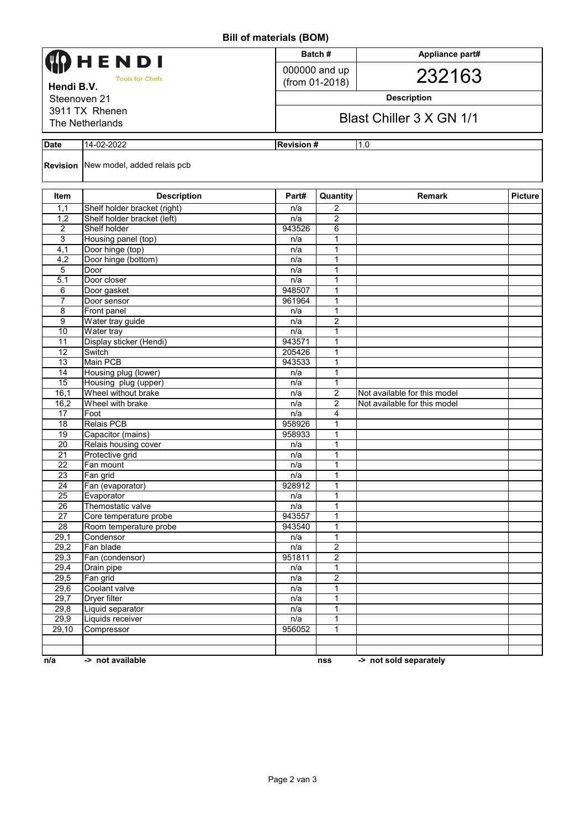**Bill of materials (BOM)**

|                           |                                                             |               | ווורט ווומנקוומו וט וווכן        |                              |                |  |  |
|---------------------------|-------------------------------------------------------------|---------------|----------------------------------|------------------------------|----------------|--|--|
|                           |                                                             |               | Batch#                           | Appliance part#              |                |  |  |
| HENDI                     |                                                             |               | 000000 and up                    |                              |                |  |  |
| <b>Tools for Chefs</b>    |                                                             |               | (from 01-2018)                   | 232163                       |                |  |  |
| Hendi B.V.                |                                                             |               |                                  |                              |                |  |  |
| Steenoven 21              |                                                             |               | <b>Description</b>               |                              |                |  |  |
| 3911 TX Rhenen            |                                                             |               | Blast Chiller 3 X GN 1/1         |                              |                |  |  |
| The Netherlands           |                                                             |               |                                  |                              |                |  |  |
| 14-02-2022<br><b>Date</b> |                                                             |               | 1.0<br><b>Revision#</b>          |                              |                |  |  |
|                           |                                                             |               |                                  |                              |                |  |  |
|                           | <b>Revision</b> New model, added relais pcb                 |               |                                  |                              |                |  |  |
|                           |                                                             |               |                                  |                              |                |  |  |
| Item                      | <b>Description</b>                                          | Part#         | Quantity                         | <b>Remark</b>                | <b>Picture</b> |  |  |
| 1,1<br>1,2                | Shelf holder bracket (right)<br>Shelf holder bracket (left) | n/a           | $\overline{2}$<br>$\overline{2}$ |                              |                |  |  |
| 2                         | Shelf holder                                                | n/a<br>943526 | 6                                |                              |                |  |  |
| 3                         | Housing panel (top)                                         | n/a           | 1                                |                              |                |  |  |
| 4,1                       | Door hinge (top)                                            | n/a           | $\mathbf{1}$                     |                              |                |  |  |
| 4,2                       | Door hinge (bottom)                                         | n/a           | 1                                |                              |                |  |  |
| 5                         | Door                                                        | n/a           | 1                                |                              |                |  |  |
| 5.1                       | Door closer                                                 | n/a           | 1                                |                              |                |  |  |
| 6                         | Door gasket                                                 | 948507        | $\mathbf{1}$                     |                              |                |  |  |
| $\overline{7}$            | Door sensor                                                 | 961964        | $\mathbf{1}$                     |                              |                |  |  |
| 8                         | Front panel                                                 | n/a           | $\mathbf{1}$                     |                              |                |  |  |
| 9                         | Water tray guide                                            | n/a           | $\overline{c}$                   |                              |                |  |  |
| 10                        | Water tray                                                  | n/a           | 1                                |                              |                |  |  |
| 11                        | Display sticker (Hendi)                                     | 943571        | 1                                |                              |                |  |  |
| 12                        | Switch                                                      | 205426        | 1                                |                              |                |  |  |
| 13                        | Main PCB                                                    | 943533        | 1                                |                              |                |  |  |
| 14                        | Housing plug (lower)                                        | n/a           | $\mathbf{1}$                     |                              |                |  |  |
| 15                        | Housing plug (upper)                                        | n/a           | 1                                |                              |                |  |  |
| 16,1                      | Wheel without brake                                         | n/a           | $\overline{2}$                   | Not available for this model |                |  |  |
| 16,2                      | Wheel with brake                                            | n/a           | $\overline{2}$                   | Not available for this model |                |  |  |
| 17                        | Foot                                                        | n/a           | $\overline{4}$                   |                              |                |  |  |
| 18                        | <b>Relais PCB</b>                                           | 958926        | 1                                |                              |                |  |  |
| 19                        | Capacitor (mains)                                           | 958933        | 1                                |                              |                |  |  |
| 20                        | Relais housing cover                                        | n/a           | $\mathbf{1}$                     |                              |                |  |  |
| 21                        | Protective grid                                             | n/a           | $\mathbf{1}$                     |                              |                |  |  |
| $\overline{22}$           | Fan mount                                                   | n/a           | 1                                |                              |                |  |  |
| $\overline{23}$           | Fan grid                                                    | n/a           | 1                                |                              |                |  |  |
| 24                        | Fan (evaporator)                                            | 928912        | 1                                |                              |                |  |  |
| 25                        | Evaporator                                                  | n/a           | 1                                |                              |                |  |  |
| 26                        | Themostatic valve                                           | n/a           | 1                                |                              |                |  |  |
| 27                        | Core temperature probe                                      | 943557        | $\mathbf{1}$                     |                              |                |  |  |
| 28                        | Room temperature probe                                      | 943540        | $\mathbf{1}$                     |                              |                |  |  |
| 29,1                      | Condensor<br>Fan blade                                      | n/a           | $\mathbf{1}$                     |                              |                |  |  |
| 29,2                      |                                                             | n/a           | $\overline{2}$                   |                              |                |  |  |
| 29,3                      | Fan (condensor)                                             | 951811        | $\overline{2}$                   |                              |                |  |  |
| 29,4                      | Drain pipe                                                  | n/a           | $\mathbf{1}$                     |                              |                |  |  |
| 29,5                      | Fan grid<br>Coolant valve                                   | n/a           | $\overline{2}$                   |                              |                |  |  |
| 29,6<br>29,7              | Dryer filter                                                | n/a<br>n/a    | 1<br>1                           |                              |                |  |  |
| 29,8                      | Liquid separator                                            | n/a           | $\mathbf{1}$                     |                              |                |  |  |
| 29,9                      | Liquids receiver                                            | n/a           | 1                                |                              |                |  |  |
| 29,10                     | Compressor                                                  | 956052        | 1                                |                              |                |  |  |
|                           |                                                             |               |                                  |                              |                |  |  |
|                           |                                                             |               |                                  |                              |                |  |  |
| n/a                       | -> not available                                            |               | nss                              | -> not sold separately       |                |  |  |